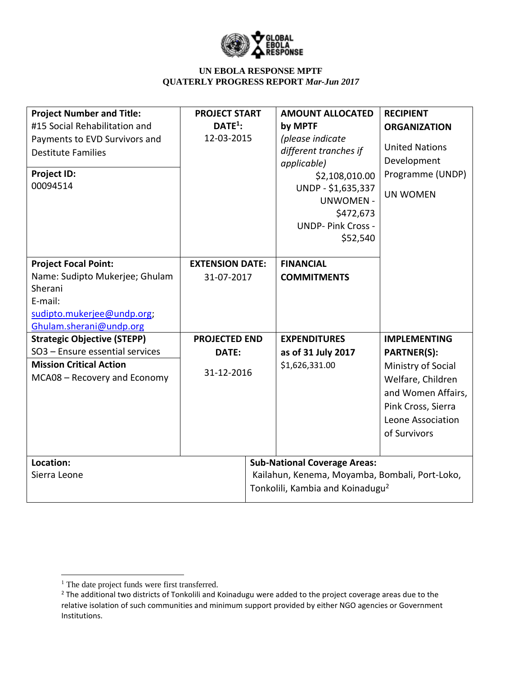

| <b>Project Number and Title:</b>          | <b>PROJECT START</b>   |  | <b>AMOUNT ALLOCATED</b>                        | <b>RECIPIENT</b>      |
|-------------------------------------------|------------------------|--|------------------------------------------------|-----------------------|
| #15 Social Rehabilitation and             | DATE <sup>1</sup>      |  | by MPTF                                        | <b>ORGANIZATION</b>   |
| Payments to EVD Survivors and             | 12-03-2015             |  | (please indicate                               |                       |
| <b>Destitute Families</b>                 |                        |  | different tranches if                          | <b>United Nations</b> |
|                                           |                        |  | applicable)                                    | Development           |
| <b>Project ID:</b>                        |                        |  | \$2,108,010.00                                 | Programme (UNDP)      |
| 00094514                                  |                        |  | UNDP - \$1,635,337                             | <b>UN WOMEN</b>       |
|                                           |                        |  | <b>UNWOMEN -</b>                               |                       |
|                                           |                        |  | \$472,673                                      |                       |
|                                           |                        |  | <b>UNDP- Pink Cross -</b>                      |                       |
|                                           |                        |  | \$52,540                                       |                       |
|                                           |                        |  |                                                |                       |
| <b>Project Focal Point:</b>               | <b>EXTENSION DATE:</b> |  | <b>FINANCIAL</b>                               |                       |
| Name: Sudipto Mukerjee; Ghulam<br>Sherani | 31-07-2017             |  | <b>COMMITMENTS</b>                             |                       |
| E-mail:                                   |                        |  |                                                |                       |
| sudipto.mukerjee@undp.org;                |                        |  |                                                |                       |
| Ghulam.sherani@undp.org                   |                        |  |                                                |                       |
| <b>Strategic Objective (STEPP)</b>        | <b>PROJECTED END</b>   |  | <b>EXPENDITURES</b>                            | <b>IMPLEMENTING</b>   |
| SO3 - Ensure essential services           | DATE:                  |  | as of 31 July 2017                             | <b>PARTNER(S):</b>    |
| <b>Mission Critical Action</b>            |                        |  | \$1,626,331.00                                 | Ministry of Social    |
| MCA08 - Recovery and Economy              | 31-12-2016             |  |                                                | Welfare, Children     |
|                                           |                        |  |                                                |                       |
|                                           |                        |  |                                                | and Women Affairs,    |
|                                           |                        |  |                                                | Pink Cross, Sierra    |
|                                           |                        |  |                                                | Leone Association     |
|                                           |                        |  |                                                | of Survivors          |
|                                           |                        |  |                                                |                       |
| Location:                                 |                        |  | <b>Sub-National Coverage Areas:</b>            |                       |
| Sierra Leone                              |                        |  | Kailahun, Kenema, Moyamba, Bombali, Port-Loko, |                       |
|                                           |                        |  | Tonkolili, Kambia and Koinadugu <sup>2</sup>   |                       |
|                                           |                        |  |                                                |                       |

 $\overline{\phantom{a}}$ 

<sup>&</sup>lt;sup>1</sup> The date project funds were first transferred.

<sup>&</sup>lt;sup>2</sup> The additional two districts of Tonkolili and Koinadugu were added to the project coverage areas due to the relative isolation of such communities and minimum support provided by either NGO agencies or Government Institutions.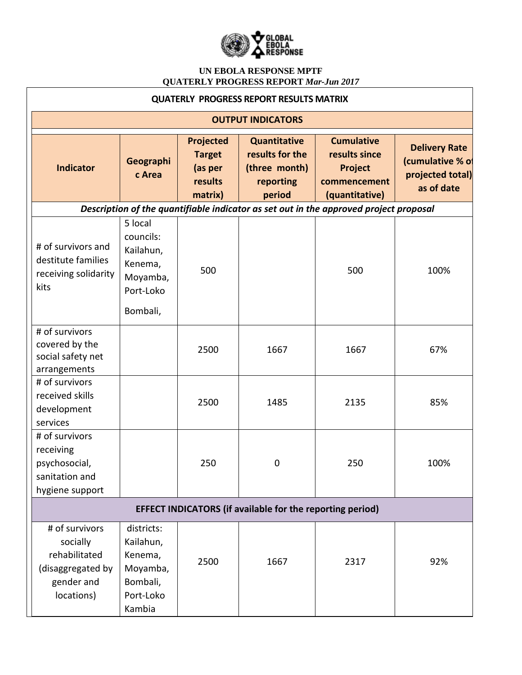

| <b>QUATERLY PROGRESS REPORT RESULTS MATRIX</b>                                               |                                                                                   |                                                                    |                                                                                |                                                                                       |                                                                            |
|----------------------------------------------------------------------------------------------|-----------------------------------------------------------------------------------|--------------------------------------------------------------------|--------------------------------------------------------------------------------|---------------------------------------------------------------------------------------|----------------------------------------------------------------------------|
| <b>OUTPUT INDICATORS</b>                                                                     |                                                                                   |                                                                    |                                                                                |                                                                                       |                                                                            |
| <b>Indicator</b>                                                                             | Geographi<br>c Area                                                               | <b>Projected</b><br><b>Target</b><br>(as per<br>results<br>matrix) | <b>Quantitative</b><br>results for the<br>(three month)<br>reporting<br>period | <b>Cumulative</b><br>results since<br>Project<br>commencement<br>(quantitative)       | <b>Delivery Rate</b><br>(cumulative % of<br>projected total)<br>as of date |
|                                                                                              |                                                                                   |                                                                    |                                                                                | Description of the quantifiable indicator as set out in the approved project proposal |                                                                            |
| # of survivors and<br>destitute families<br>receiving solidarity<br>kits                     | 5 local<br>councils:<br>Kailahun,<br>Kenema,<br>Moyamba,<br>Port-Loko<br>Bombali, | 500                                                                |                                                                                | 500                                                                                   | 100%                                                                       |
| # of survivors<br>covered by the<br>social safety net<br>arrangements                        |                                                                                   | 2500                                                               | 1667                                                                           | 1667                                                                                  | 67%                                                                        |
| # of survivors<br>received skills<br>development<br>services                                 |                                                                                   | 2500                                                               | 1485                                                                           | 2135                                                                                  | 85%                                                                        |
| # of survivors<br>receiving<br>psychosocial,<br>sanitation and<br>hygiene support            |                                                                                   | 250                                                                | 0                                                                              | 250                                                                                   | 100%                                                                       |
| <b>EFFECT INDICATORS (if available for the reporting period)</b>                             |                                                                                   |                                                                    |                                                                                |                                                                                       |                                                                            |
| # of survivors<br>socially<br>rehabilitated<br>(disaggregated by<br>gender and<br>locations) | districts:<br>Kailahun,<br>Kenema,<br>Moyamba,<br>Bombali,<br>Port-Loko<br>Kambia | 2500                                                               | 1667                                                                           | 2317                                                                                  | 92%                                                                        |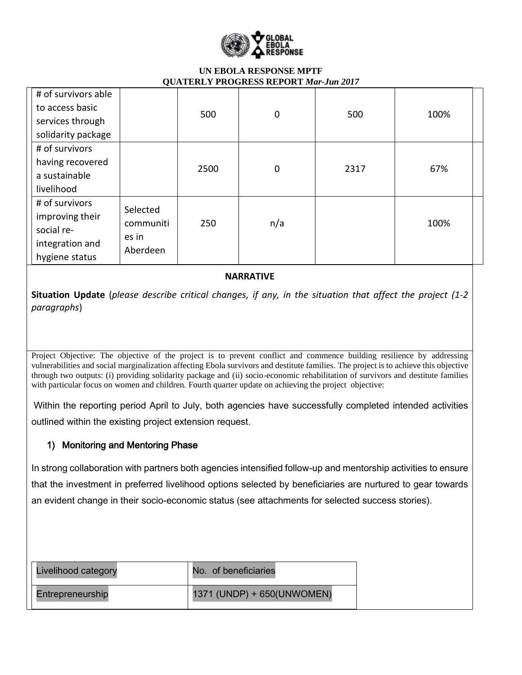

|                                                                                      | ∼ -                                        |      |             |      |      |
|--------------------------------------------------------------------------------------|--------------------------------------------|------|-------------|------|------|
| # of survivors able<br>to access basic<br>services through<br>solidarity package     |                                            | 500  | $\mathbf 0$ | 500  | 100% |
| # of survivors<br>having recovered<br>a sustainable<br>livelihood                    |                                            | 2500 | $\mathbf 0$ | 2317 | 67%  |
| # of survivors<br>improving their<br>social re-<br>integration and<br>hygiene status | Selected<br>communiti<br>es in<br>Aberdeen | 250  | n/a         |      | 100% |

### **NARRATIVE**

**Situation Update** (*please describe critical changes, if any, in the situation that affect the project (1-2 paragraphs*)

Project Objective: The objective of the project is to prevent conflict and commence building resilience by addressing vulnerabilities and social marginalization affecting Ebola survivors and destitute families. The project is to achieve this objective through two outputs: (i) providing solidarity package and (ii) socio-economic rehabilitation of survivors and destitute families with particular focus on women and children. Fourth quarter update on achieving the project objective:

Within the reporting period April to July, both agencies have successfully completed intended activities outlined within the existing project extension request.

# 1) Monitoring and Mentoring Phase

In strong collaboration with partners both agencies intensified follow-up and mentorship activities to ensure that the investment in preferred livelihood options selected by beneficiaries are nurtured to gear towards an evident change in their socio-economic status (see attachments for selected success stories).

| Livelihood category | No. of beneficiaries       |
|---------------------|----------------------------|
| Entrepreneurship    | 1371 (UNDP) + 650(UNWOMEN) |